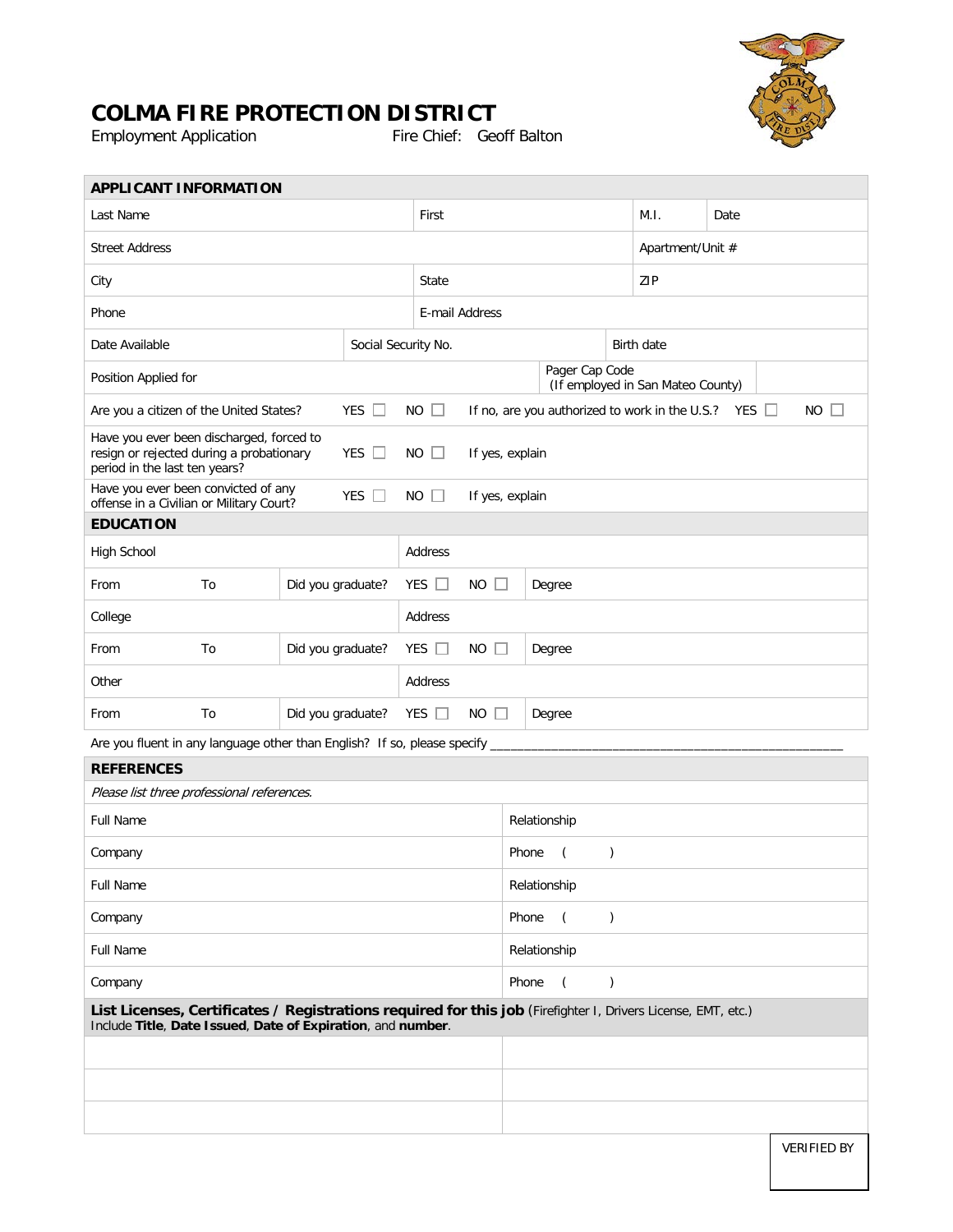

## **COLMA FIRE PROTECTION DISTRICT**<br>Employment Application Fire Chief: Geoff Balton

Employment Application

| <b>APPLICANT INFORMATION</b>                                                                                                                                                 |    |                   |                     |                       |                                                                                  |              |                |                        |                |                  |  |  |  |                    |
|------------------------------------------------------------------------------------------------------------------------------------------------------------------------------|----|-------------------|---------------------|-----------------------|----------------------------------------------------------------------------------|--------------|----------------|------------------------|----------------|------------------|--|--|--|--------------------|
| Last Name                                                                                                                                                                    |    |                   |                     |                       | First                                                                            |              |                |                        | M.I.           | Date             |  |  |  |                    |
| <b>Street Address</b>                                                                                                                                                        |    |                   |                     |                       |                                                                                  |              |                |                        |                | Apartment/Unit # |  |  |  |                    |
| City                                                                                                                                                                         |    |                   |                     |                       | State                                                                            |              |                |                        |                | ZIP              |  |  |  |                    |
| Phone                                                                                                                                                                        |    |                   |                     |                       | E-mail Address                                                                   |              |                |                        |                |                  |  |  |  |                    |
| Date Available                                                                                                                                                               |    |                   | Social Security No. |                       |                                                                                  |              |                | Birth date             |                |                  |  |  |  |                    |
| Position Applied for                                                                                                                                                         |    |                   |                     |                       | Pager Cap Code<br>(If employed in San Mateo County)                              |              |                |                        |                |                  |  |  |  |                    |
| Are you a citizen of the United States?                                                                                                                                      |    |                   | YES $\Box$          |                       | $NO$ $\Box$<br>If no, are you authorized to work in the U.S.? YES<br>$NO$ $\Box$ |              |                |                        |                |                  |  |  |  |                    |
| Have you ever been discharged, forced to<br>resign or rejected during a probationary<br>YES $\Box$<br>period in the last ten years?                                          |    |                   |                     | NO<br>If yes, explain |                                                                                  |              |                |                        |                |                  |  |  |  |                    |
| Have you ever been convicted of any<br>YES $\square$<br>offense in a Civilian or Military Court?                                                                             |    |                   |                     |                       | $NO$ $\Box$<br>If yes, explain                                                   |              |                |                        |                |                  |  |  |  |                    |
| <b>EDUCATION</b>                                                                                                                                                             |    |                   |                     |                       |                                                                                  |              |                |                        |                |                  |  |  |  |                    |
| High School                                                                                                                                                                  |    |                   |                     |                       | Address                                                                          |              |                |                        |                |                  |  |  |  |                    |
| From                                                                                                                                                                         | To | Did you graduate? |                     |                       | YES $\Box$<br><b>NO</b>                                                          |              |                | Degree                 |                |                  |  |  |  |                    |
| College                                                                                                                                                                      |    |                   |                     |                       | Address                                                                          |              |                |                        |                |                  |  |  |  |                    |
| From                                                                                                                                                                         | To | Did you graduate? |                     |                       | YES $\Box$<br>NO.                                                                |              |                | Degree                 |                |                  |  |  |  |                    |
| Other                                                                                                                                                                        |    |                   |                     |                       | Address                                                                          |              |                |                        |                |                  |  |  |  |                    |
| From                                                                                                                                                                         | To | Did you graduate? |                     |                       | YES $\Box$<br><b>NO</b><br>$\Box$<br>Degree                                      |              |                |                        |                |                  |  |  |  |                    |
| Are you fluent in any language other than English? If so, please specify                                                                                                     |    |                   |                     |                       |                                                                                  |              |                |                        |                |                  |  |  |  |                    |
| <b>REFERENCES</b>                                                                                                                                                            |    |                   |                     |                       |                                                                                  |              |                |                        |                |                  |  |  |  |                    |
| Please list three professional references.                                                                                                                                   |    |                   |                     |                       |                                                                                  |              |                |                        |                |                  |  |  |  |                    |
| <b>Full Name</b>                                                                                                                                                             |    |                   |                     |                       |                                                                                  |              |                | Relationship           |                |                  |  |  |  |                    |
| Company                                                                                                                                                                      |    |                   |                     |                       |                                                                                  |              |                | Phone                  | $\left($       | $\mathcal{C}$    |  |  |  |                    |
| Full Name                                                                                                                                                                    |    |                   |                     |                       |                                                                                  | Relationship |                |                        |                |                  |  |  |  |                    |
| Company                                                                                                                                                                      |    |                   |                     |                       |                                                                                  |              |                | Phone                  | $\overline{ }$ | $\mathcal{C}$    |  |  |  |                    |
| <b>Full Name</b>                                                                                                                                                             |    |                   |                     |                       |                                                                                  | Relationship |                |                        |                |                  |  |  |  |                    |
| Company                                                                                                                                                                      |    |                   |                     |                       |                                                                                  | Phone        | $\overline{C}$ | $\mathcal{C}^{\prime}$ |                |                  |  |  |  |                    |
| List Licenses, Certificates / Registrations required for this job (Firefighter I, Drivers License, EMT, etc.)<br>Include Title, Date Issued, Date of Expiration, and number. |    |                   |                     |                       |                                                                                  |              |                |                        |                |                  |  |  |  |                    |
|                                                                                                                                                                              |    |                   |                     |                       |                                                                                  |              |                |                        |                |                  |  |  |  |                    |
|                                                                                                                                                                              |    |                   |                     |                       |                                                                                  |              |                |                        |                |                  |  |  |  |                    |
|                                                                                                                                                                              |    |                   |                     |                       |                                                                                  |              |                |                        |                |                  |  |  |  |                    |
|                                                                                                                                                                              |    |                   |                     |                       |                                                                                  |              |                |                        |                |                  |  |  |  | <b>VERIFIED BY</b> |